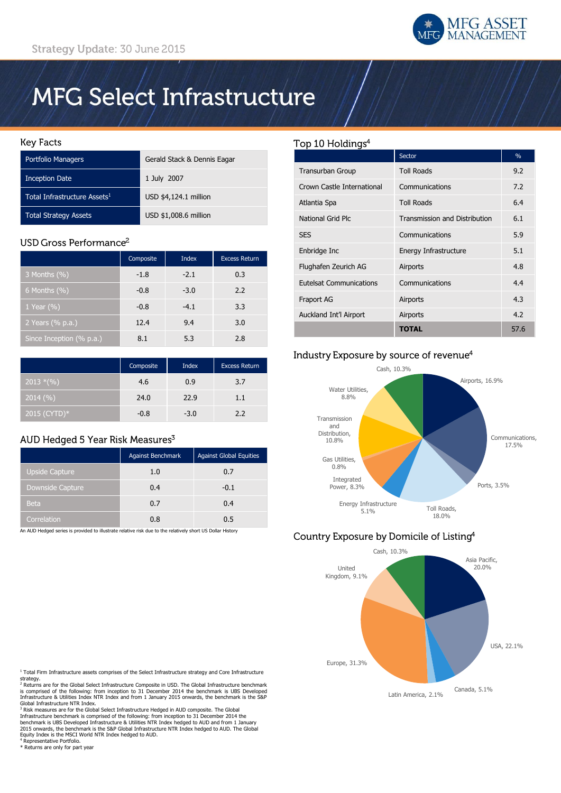

# **MFG Select Infrastructure**

#### **Key Facts**

| Portfolio Managers                       | Gerald Stack & Dennis Eagar |
|------------------------------------------|-----------------------------|
| <b>Inception Date</b>                    | 1 July 2007                 |
| Total Infrastructure Assets <sup>1</sup> | USD \$4,124.1 million       |
| <b>Total Strategy Assets</b>             | USD \$1,008.6 million       |

## USD Gross Performance<sup>2</sup>

|                          | Composite | <b>Index</b> | <b>Excess Return</b> |
|--------------------------|-----------|--------------|----------------------|
| 3 Months (%)             | $-1.8$    | $-2.1$       | 0.3                  |
| 6 Months $(\%)$          | $-0.8$    | $-3.0$       | 2.2                  |
| 1 Year $(\% )$           | $-0.8$    | $-4.1$       | 3.3                  |
| 2 Years (% p.a.)         | 12.4      | 9.4          | 3.0                  |
| Since Inception (% p.a.) | 8.1       | 5.3          | 2.8                  |

|              | Composite | Index  | <b>Excess Return</b> |
|--------------|-----------|--------|----------------------|
| $2013*(\%)$  | 4.6       | 0.9    | 3.7                  |
| 2014(%)      | 24.0      | 22.9   | 1.1                  |
| 2015 (CYTD)* | $-0.8$    | $-3.0$ | 2.2                  |

# AUD Hedged 5 Year Risk Measures<sup>3</sup>

|                                                                                                                                | <b>Against Benchmark</b> | <b>Against Global Equities</b> |
|--------------------------------------------------------------------------------------------------------------------------------|--------------------------|--------------------------------|
| <b>Upside Capture</b>                                                                                                          | 1.0                      | 0.7                            |
| <b>Downside Capture</b>                                                                                                        | 0.4                      | $-0.1$                         |
| <b>Beta</b>                                                                                                                    | 0.7                      | 0.4                            |
| Correlation<br>An ALIN Hodiacultural control and Alin Minghael adaptation and aline as also adaptache disput HC IN-Hoa History | 0.8                      | 0.5                            |

An AUD Hedged series is provided to illustrate relative risk due to the relatively short US Dollar History

# <sup>1</sup> Total Firm Infrastructure assets comprises of the Select Infrastructure strategy and Core Infrastructure

strategy.<br><sup>2</sup> Returns are for the Global Select Infrastructure Composite in USD. The Global Infrastructure benchmark is comprised of the following: from inception to 31 December 2014 the benchmark is UBS Developed<br>Infrastructure & Utilities Index NTR Index and from 1 January 2015 onwards, the benchmark is the S&P<br>Global Infrastructure NT

<sup>3</sup> Risk measures are for the Global Select Infrastructure Hedged in AUD composite. The Global<br>Infrastructure benchmark is comprised of the following: from inception to 31 December 2014 the<br>benchmark is UBS Developed Infra

<sup>4</sup> Representative Portfolio. \* Returns are only for part year

#### Top 10 Holdings<sup>4</sup>

|                            | Sector                        | $\%$ |
|----------------------------|-------------------------------|------|
| <b>Transurban Group</b>    | <b>Toll Roads</b>             | 9.2  |
| Crown Castle International | Communications                | 7.2  |
| Atlantia Spa               | <b>Toll Roads</b>             | 6.4  |
| National Grid Plc          | Transmission and Distribution | 6.1  |
| <b>SES</b>                 | Communications                | 5.9  |
| Enbridge Inc               | Energy Infrastructure         | 5.1  |
| Flughafen Zeurich AG       | Airports                      | 4.8  |
| Eutelsat Communications    | Communications                | 4.4  |
| Fraport AG                 | Airports                      | 4.3  |
| Auckland Int'l Airport     | Airports                      | 4.2  |
|                            | <b>TOTAL</b>                  | 57.6 |

# Industry Exposure by source of revenue<sup>4</sup>



# Country Exposure by Domicile of Listing<sup>4</sup>

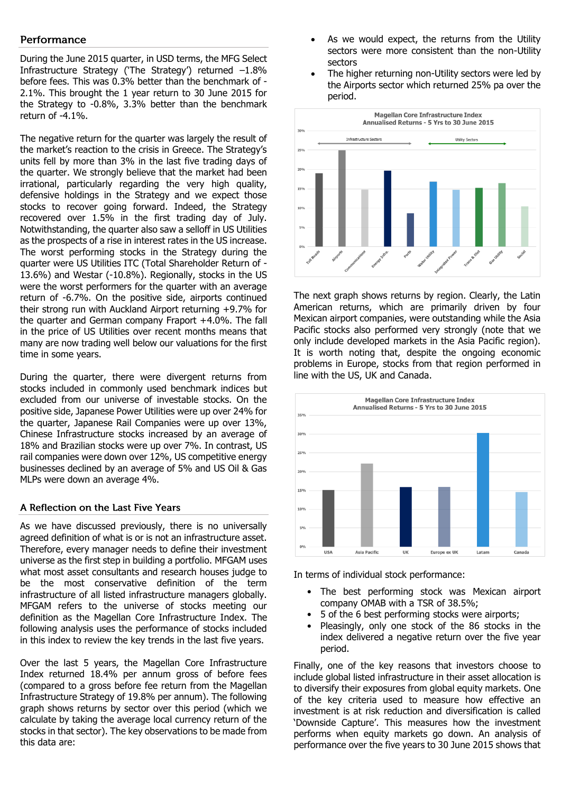### Performance

During the June 2015 quarter, in USD terms, the MFG Select Infrastructure Strategy ('The Strategy') returned –1.8% before fees. This was 0.3% better than the benchmark of - 2.1%. This brought the 1 year return to 30 June 2015 for the Strategy to -0.8%, 3.3% better than the benchmark return of -4.1%.

The negative return for the quarter was largely the result of the market's reaction to the crisis in Greece. The Strategy's units fell by more than 3% in the last five trading days of the quarter. We strongly believe that the market had been irrational, particularly regarding the very high quality, defensive holdings in the Strategy and we expect those stocks to recover going forward. Indeed, the Strategy recovered over 1.5% in the first trading day of July. Notwithstanding, the quarter also saw a selloff in US Utilities as the prospects of a rise in interest rates in the US increase. The worst performing stocks in the Strategy during the quarter were US Utilities ITC (Total Shareholder Return of - 13.6%) and Westar (-10.8%). Regionally, stocks in the US were the worst performers for the quarter with an average return of -6.7%. On the positive side, airports continued their strong run with Auckland Airport returning +9.7% for the quarter and German company Fraport +4.0%. The fall in the price of US Utilities over recent months means that many are now trading well below our valuations for the first time in some years.

During the quarter, there were divergent returns from stocks included in commonly used benchmark indices but excluded from our universe of investable stocks. On the positive side, Japanese Power Utilities were up over 24% for the quarter, Japanese Rail Companies were up over 13%, Chinese Infrastructure stocks increased by an average of 18% and Brazilian stocks were up over 7%. In contrast, US rail companies were down over 12%, US competitive energy businesses declined by an average of 5% and US Oil & Gas MLPs were down an average 4%.

#### A Reflection on the Last Five Years

As we have discussed previously, there is no universally agreed definition of what is or is not an infrastructure asset. Therefore, every manager needs to define their investment universe as the first step in building a portfolio. MFGAM uses what most asset consultants and research houses judge to be the most conservative definition of the term infrastructure of all listed infrastructure managers globally. MFGAM refers to the universe of stocks meeting our definition as the Magellan Core Infrastructure Index. The following analysis uses the performance of stocks included in this index to review the key trends in the last five years.

Over the last 5 years, the Magellan Core Infrastructure Index returned 18.4% per annum gross of before fees (compared to a gross before fee return from the Magellan Infrastructure Strategy of 19.8% per annum). The following graph shows returns by sector over this period (which we calculate by taking the average local currency return of the stocks in that sector). The key observations to be made from this data are:

- As we would expect, the returns from the Utility sectors were more consistent than the non-Utility sectors
- The higher returning non-Utility sectors were led by the Airports sector which returned 25% pa over the period.



The next graph shows returns by region. Clearly, the Latin American returns, which are primarily driven by four Mexican airport companies, were outstanding while the Asia Pacific stocks also performed very strongly (note that we only include developed markets in the Asia Pacific region). It is worth noting that, despite the ongoing economic problems in Europe, stocks from that region performed in line with the US, UK and Canada.



In terms of individual stock performance:

- The best performing stock was Mexican airport company OMAB with a TSR of 38.5%;
- 5 of the 6 best performing stocks were airports;
- Pleasingly, only one stock of the 86 stocks in the index delivered a negative return over the five year period.

Finally, one of the key reasons that investors choose to include global listed infrastructure in their asset allocation is to diversify their exposures from global equity markets. One of the key criteria used to measure how effective an investment is at risk reduction and diversification is called 'Downside Capture'. This measures how the investment performs when equity markets go down. An analysis of performance over the five years to 30 June 2015 shows that